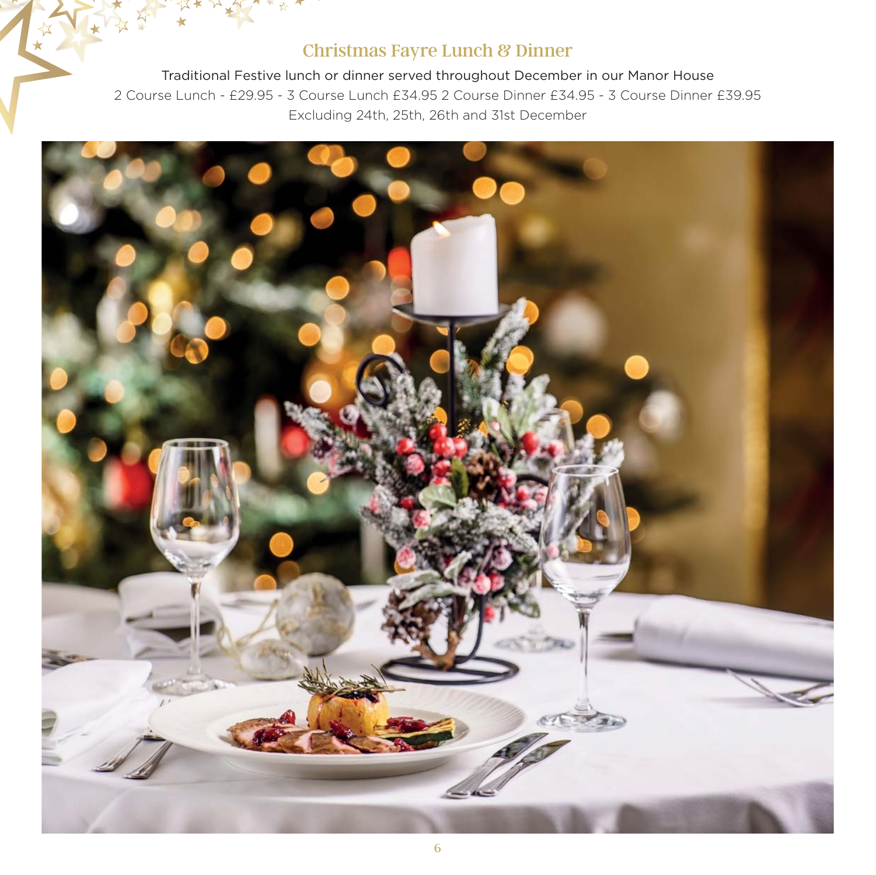## Christmas Fayre Lunch & Dinner

Traditional Festive lunch or dinner served throughout December in our Manor House 2 Course Lunch - £29.95 - 3 Course Lunch £34.95 2 Course Dinner £34.95 - 3 Course Dinner £39.95 Excluding 24th, 25th, 26th and 31st December